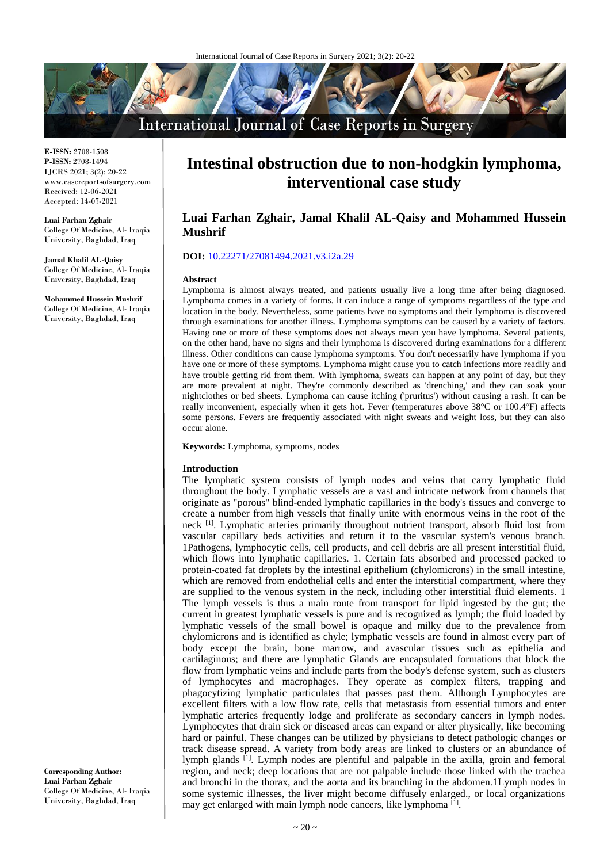

**E-ISSN:** 2708-1508 **P-ISSN:** 2708-1494 IJCRS 2021; 3(2): 20-22 www.casereportsofsurgery.com Received: 12-06-2021 Accepted: 14-07-2021

**Luai Farhan Zghair** College Of Medicine, Al- Iraqia University, Baghdad, Iraq

**Jamal Khalil AL-Qaisy** College Of Medicine, Al- Iraqia University, Baghdad, Iraq

**Mohammed Hussein Mushrif** College Of Medicine, Al- Iraqia University, Baghdad, Iraq

**Corresponding Author: Luai Farhan Zghair** College Of Medicine, Al- Iraqia University, Baghdad, Iraq

# **Intestinal obstruction due to non-hodgkin lymphoma, interventional case study**

# **Luai Farhan Zghair, Jamal Khalil AL-Qaisy and Mohammed Hussein Mushrif**

# **DOI:** [10.22271/27081494.2021.v3.i2a.29](4-1-1.1.doc)

#### **Abstract**

Lymphoma is almost always treated, and patients usually live a long time after being diagnosed. Lymphoma comes in a variety of forms. It can induce a range of symptoms regardless of the type and location in the body. Nevertheless, some patients have no symptoms and their lymphoma is discovered through examinations for another illness. Lymphoma symptoms can be caused by a variety of factors. Having one or more of these symptoms does not always mean you have lymphoma. Several patients, on the other hand, have no signs and their lymphoma is discovered during examinations for a different illness. Other conditions can cause lymphoma symptoms. You don't necessarily have lymphoma if you have one or more of these symptoms. Lymphoma might cause you to catch infections more readily and have trouble getting rid from them. With lymphoma, sweats can happen at any point of day, but they are more prevalent at night. They're commonly described as 'drenching,' and they can soak your nightclothes or bed sheets. Lymphoma can cause itching ('pruritus') without causing a rash. It can be really inconvenient, especially when it gets hot. Fever (temperatures above 38°C or 100.4°F) affects some persons. Fevers are frequently associated with night sweats and weight loss, but they can also occur alone.

**Keywords:** Lymphoma, symptoms, nodes

#### **Introduction**

The lymphatic system consists of lymph nodes and veins that carry lymphatic fluid throughout the body. Lymphatic vessels are a vast and intricate network from channels that originate as "porous" blind-ended lymphatic capillaries in the body's tissues and converge to create a number from high vessels that finally unite with enormous veins in the root of the neck <sup>[1]</sup>. Lymphatic arteries primarily throughout nutrient transport, absorb fluid lost from vascular capillary beds activities and return it to the vascular system's venous branch. 1Pathogens, lymphocytic cells, cell products, and cell debris are all present interstitial fluid, which flows into lymphatic capillaries. 1. Certain fats absorbed and processed packed to protein-coated fat droplets by the intestinal epithelium (chylomicrons) in the small intestine, which are removed from endothelial cells and enter the interstitial compartment, where they are supplied to the venous system in the neck, including other interstitial fluid elements. 1 The lymph vessels is thus a main route from transport for lipid ingested by the gut; the current in greatest lymphatic vessels is pure and is recognized as lymph; the fluid loaded by lymphatic vessels of the small bowel is opaque and milky due to the prevalence from chylomicrons and is identified as chyle; lymphatic vessels are found in almost every part of body except the brain, bone marrow, and avascular tissues such as epithelia and cartilaginous; and there are lymphatic Glands are encapsulated formations that block the flow from lymphatic veins and include parts from the body's defense system, such as clusters of lymphocytes and macrophages. They operate as complex filters, trapping and phagocytizing lymphatic particulates that passes past them. Although Lymphocytes are excellent filters with a low flow rate, cells that metastasis from essential tumors and enter lymphatic arteries frequently lodge and proliferate as secondary cancers in lymph nodes. Lymphocytes that drain sick or diseased areas can expand or alter physically, like becoming hard or painful. These changes can be utilized by physicians to detect pathologic changes or track disease spread. A variety from body areas are linked to clusters or an abundance of lymph glands <sup>[1]</sup>. Lymph nodes are plentiful and palpable in the axilla, groin and femoral region, and neck; deep locations that are not palpable include those linked with the trachea and bronchi in the thorax, and the aorta and its branching in the abdomen.1Lymph nodes in some systemic illnesses, the liver might become diffusely enlarged., or local organizations may get enlarged with main lymph node cancers, like lymphoma<sup>[1]</sup>.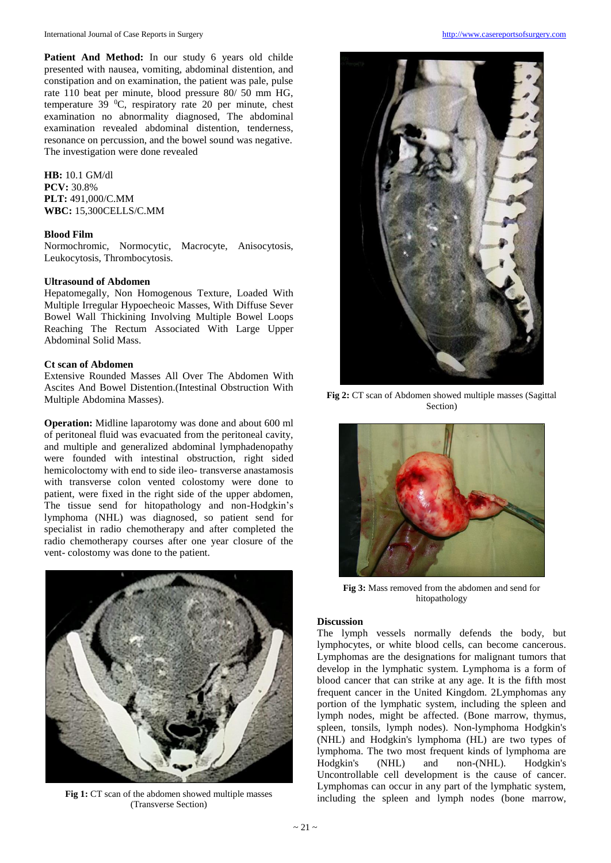Patient And Method: In our study 6 years old childe presented with nausea, vomiting, abdominal distention, and constipation and on examination, the patient was pale, pulse rate 110 beat per minute, blood pressure 80/ 50 mm HG, temperature 39  $^0C$ , respiratory rate 20 per minute, chest examination no abnormality diagnosed, The abdominal examination revealed abdominal distention, tenderness, resonance on percussion, and the bowel sound was negative. The investigation were done revealed

**HB:** 10.1 GM/dl **PCV:** 30.8% **PLT:** 491,000/C.MM **WBC:** 15,300CELLS/C.MM

#### **Blood Film**

Normochromic, Normocytic, Macrocyte, Anisocytosis, Leukocytosis, Thrombocytosis.

#### **Ultrasound of Abdomen**

Hepatomegally, Non Homogenous Texture, Loaded With Multiple Irregular Hypoecheoic Masses, With Diffuse Sever Bowel Wall Thickining Involving Multiple Bowel Loops Reaching The Rectum Associated With Large Upper Abdominal Solid Mass.

# **Ct scan of Abdomen**

Extensive Rounded Masses All Over The Abdomen With Ascites And Bowel Distention.(Intestinal Obstruction With Multiple Abdomina Masses).

**Operation:** Midline laparotomy was done and about 600 ml of peritoneal fluid was evacuated from the peritoneal cavity, and multiple and generalized abdominal lymphadenopathy were founded with intestinal obstruction, right sided hemicoloctomy with end to side ileo- transverse anastamosis with transverse colon vented colostomy were done to patient, were fixed in the right side of the upper abdomen, The tissue send for hitopathology and non-Hodgkin's lymphoma (NHL) was diagnosed, so patient send for specialist in radio chemotherapy and after completed the radio chemotherapy courses after one year closure of the vent- colostomy was done to the patient.



Fig 1: CT scan of the abdomen showed multiple masses (Transverse Section)



**Fig 2:** CT scan of Abdomen showed multiple masses (Sagittal Section)



**Fig 3:** Mass removed from the abdomen and send for hitopathology

### **Discussion**

The lymph vessels normally defends the body, but lymphocytes, or white blood cells, can become cancerous. Lymphomas are the designations for malignant tumors that develop in the lymphatic system. Lymphoma is a form of blood cancer that can strike at any age. It is the fifth most frequent cancer in the United Kingdom. 2Lymphomas any portion of the lymphatic system, including the spleen and lymph nodes, might be affected. (Bone marrow, thymus, spleen, tonsils, lymph nodes). Non-lymphoma Hodgkin's (NHL) and Hodgkin's lymphoma (HL) are two types of lymphoma. The two most frequent kinds of lymphoma are Hodgkin's (NHL) and non-(NHL). Hodgkin's Uncontrollable cell development is the cause of cancer. Lymphomas can occur in any part of the lymphatic system, including the spleen and lymph nodes (bone marrow,